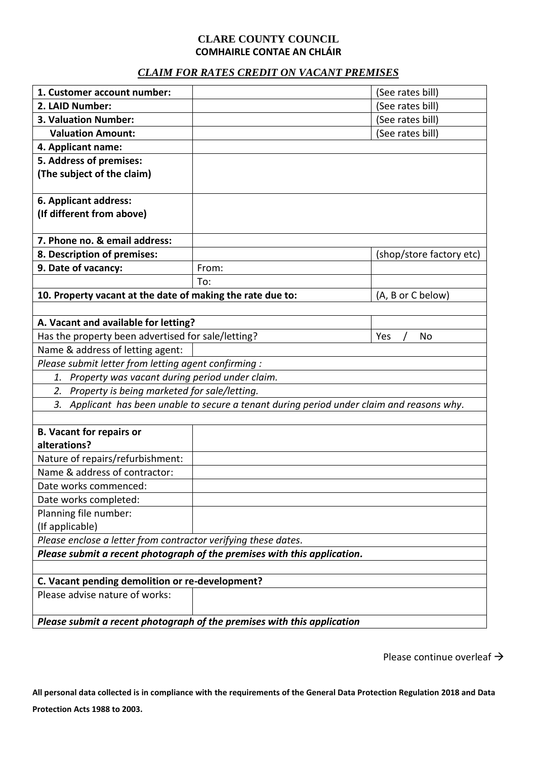# **CLARE COUNTY COUNCIL COMHAIRLE CONTAE AN CHLÁIR**

# *CLAIM FOR RATES CREDIT ON VACANT PREMISES*

| 1. Customer account number:                                                                |       | (See rates bill)         |  |  |
|--------------------------------------------------------------------------------------------|-------|--------------------------|--|--|
| 2. LAID Number:                                                                            |       | (See rates bill)         |  |  |
| 3. Valuation Number:                                                                       |       | (See rates bill)         |  |  |
| <b>Valuation Amount:</b>                                                                   |       | (See rates bill)         |  |  |
| 4. Applicant name:                                                                         |       |                          |  |  |
| 5. Address of premises:                                                                    |       |                          |  |  |
| (The subject of the claim)                                                                 |       |                          |  |  |
| 6. Applicant address:                                                                      |       |                          |  |  |
| (If different from above)                                                                  |       |                          |  |  |
| 7. Phone no. & email address:                                                              |       |                          |  |  |
| 8. Description of premises:                                                                |       | (shop/store factory etc) |  |  |
| 9. Date of vacancy:                                                                        | From: |                          |  |  |
|                                                                                            | To:   |                          |  |  |
| 10. Property vacant at the date of making the rate due to:                                 |       | (A, B or C below)        |  |  |
|                                                                                            |       |                          |  |  |
| A. Vacant and available for letting?                                                       |       |                          |  |  |
| Has the property been advertised for sale/letting?<br>Yes<br>No                            |       |                          |  |  |
| Name & address of letting agent:                                                           |       |                          |  |  |
| Please submit letter from letting agent confirming :                                       |       |                          |  |  |
| 1. Property was vacant during period under claim.                                          |       |                          |  |  |
| 2. Property is being marketed for sale/letting.                                            |       |                          |  |  |
| 3. Applicant has been unable to secure a tenant during period under claim and reasons why. |       |                          |  |  |
|                                                                                            |       |                          |  |  |
| <b>B. Vacant for repairs or</b>                                                            |       |                          |  |  |
| alterations?                                                                               |       |                          |  |  |
| Nature of repairs/refurbishment:                                                           |       |                          |  |  |
| Name & address of contractor:                                                              |       |                          |  |  |
| Date works commenced:                                                                      |       |                          |  |  |
| Date works completed:                                                                      |       |                          |  |  |
| Planning file number:                                                                      |       |                          |  |  |
| (If applicable)                                                                            |       |                          |  |  |
| Please enclose a letter from contractor verifying these dates.                             |       |                          |  |  |
| Please submit a recent photograph of the premises with this application.                   |       |                          |  |  |
|                                                                                            |       |                          |  |  |
| C. Vacant pending demolition or re-development?                                            |       |                          |  |  |
| Please advise nature of works:                                                             |       |                          |  |  |
| Please submit a recent photograph of the premises with this application                    |       |                          |  |  |

Please continue overleaf →

**All personal data collected is in compliance with the requirements of the General Data Protection Regulation 2018 and Data Protection Acts 1988 to 2003.**